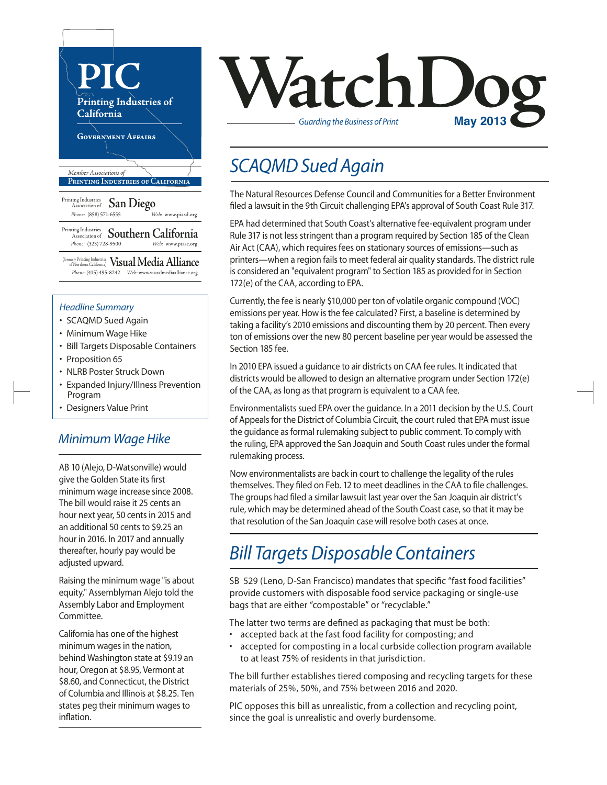

(formerly Printing Industries of Northern California) **Visual Media Alliance** *Phone:* (415) 495-8242 *Web:* www.visualmediaalliance.org

#### *Headline Summary*

- SCAQMD Sued Again
- Minimum Wage Hike
- Bill Targets Disposable Containers
- Proposition 65
- NLRB Poster Struck Down
- Expanded Injury/Illness Prevention Program
- Designers Value Print

#### *Minimum Wage Hike*

AB 10 (Alejo, D-Watsonville) would give the Golden State its first minimum wage increase since 2008. The bill would raise it 25 cents an hour next year, 50 cents in 2015 and an additional 50 cents to \$9.25 an hour in 2016. In 2017 and annually thereafter, hourly pay would be adjusted upward.

Raising the minimum wage "is about equity," Assemblyman Alejo told the Assembly Labor and Employment Committee.

California has one of the highest minimum wages in the nation, behind Washington state at \$9.19 an hour, Oregon at \$8.95, Vermont at \$8.60, and Connecticut, the District of Columbia and Illinois at \$8.25. Ten states peg their minimum wages to inflation.

# **VatchLog** *Guarding the Business of Print*

## *SCAQMD Sued Again*

The Natural Resources Defense Council and Communitiesfor a Better Environment filed a lawsuit in the 9th Circuit challenging EPA's approval of South Coast Rule 317.

EPA had determined that South Coast's alternative fee-equivalent program under Rule 317 is not less stringent than a program required by Section 185 of the Clean Air Act (CAA), which requires fees on stationary sources of emissions—such as printers—when a region fails to meet federal air quality standards. The district rule is considered an "equivalent program" to Section 185 as provided for in Section 172(e) of the CAA, according to EPA.

Currently, the fee is nearly \$10,000 per ton of volatile organic compound (VOC) emissions per year. How is the fee calculated? First, a baseline is determined by taking a facility's 2010 emissions and discounting them by 20 percent. Then every ton of emissions over the new 80 percent baseline per year would be assessed the Section 185 fee.

In 2010 EPA issued a guidance to air districts on CAA fee rules. It indicated that districts would be allowed to design an alternative program under Section 172(e) of the CAA, as long as that program is equivalent to a CAA fee.

Environmentalists sued EPA over the guidance. In a 2011 decision by the U.S. Court of Appeals for the District of Columbia Circuit, the court ruled that EPA must issue the guidance as formal rulemaking subject to public comment. To comply with the ruling, EPA approved the San Joaquin and South Coast rules under the formal rulemaking process.

Now environmentalists are back in court to challenge the legality of the rules themselves. They filed on Feb. 12 to meet deadlines in the CAA to file challenges. The groups had filed a similar lawsuit last year over the San Joaquin air district's rule, which may be determined ahead of the South Coast case, so that it may be that resolution of the San Joaquin case will resolve both cases at once.

# *Bill Targets Disposable Containers*

SB 529 (Leno, D-San Francisco) mandates that specific "fast food facilities" provide customers with disposable food service packaging or single-use bags that are either "compostable" or "recyclable."

The latter two terms are defined as packaging that must be both:

- accepted back at the fast food facility for composting; and
- accepted for composting in a local curbside collection program available to at least 75% of residents in that jurisdiction.

The bill further establishes tiered composing and recycling targets for these materials of 25%, 50%, and 75% between 2016 and 2020.

PIC opposes this bill as unrealistic, from a collection and recycling point, since the goal is unrealistic and overly burdensome.